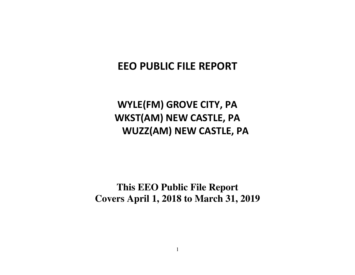# **EEO PUBLIC FILE REPORT**

# **WYLE(FM) GROVE CITY, PA WKST(AM) NEW CASTLE, PA WUZZ(AM) NEW CASTLE, PA**

**This EEO Public File Report Covers April 1, 2018 to March 31, 2019**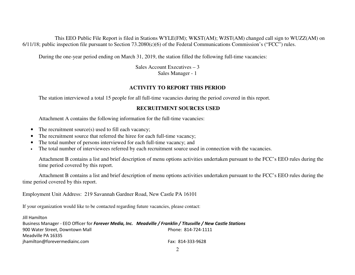This EEO Public File Report is filed in Stations WYLE(FM); WKST(AM); WJST(AM) changed call sign to WUZZ(AM) on 6/11/18; public inspection file pursuant to Section 73.2080(c)(6) of the Federal Communications Commission's ("FCC") rules.

During the one-year period ending on March 31, 2019, the station filled the following full-time vacancies:

 Sales Account Executives – 3 Sales Manager - 1

## **ACTIVITY TO REPORT THIS PERIOD**

The station interviewed a total 15 people for all full-time vacancies during the period covered in this report.

## **RECRUITMENT SOURCES USED**

Attachment A contains the following information for the full-time vacancies:

- $\bullet$ The recruitment source(s) used to fill each vacancy;
- •The recruitment source that referred the hiree for each full-time vacancy;
- •The total number of persons interviewed for each full-time vacancy; and
- •The total number of interviewees referred by each recruitment source used in connection with the vacancies.

Attachment B contains a list and brief description of menu options activities undertaken pursuant to the FCC's EEO rules during the time period covered by this report.

 Attachment B contains a list and brief description of menu options activities undertaken pursuant to the FCC's EEO rules during the time period covered by this report.

Employment Unit Address: 219 Savannah Gardner Road, New Castle PA 16101

If your organization would like to be contacted regarding future vacancies, please contact:

Jill Hamilton Business Manager - EEO Officer for *Forever Media, Inc. Meadville / Franklin / Titusville / New Castle Stations* 900 Water Street, Downtown Mall **Phone: 814-724-1111** Meadville PA 16335 jhamilton@forevermediainc.com Fax: 814-333-9628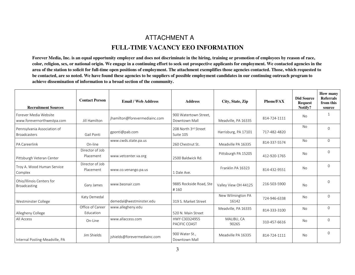# ATTACHMENT A **FULL-TIME VACANCY EEO INFORMATION**

**Forever Media, Inc. is an equal opportunity employer and does not discriminate in the hiring, training or promotion of employees by reason of race, color, religion, sex, or national origin. We engage in a continuing effort to seek out prospective applicants for employment. We contacted agencies in the area of the station to solicit for full-time open positions of employment. The attachment exemplifies those agencies contacted. Those, which requested tobe contacted, are so noted. We have found these agencies to be suppliers of possible employment candidates in our continuing outreach program to achieve dissemination of information to a broad section of the community.** 

| <b>Recruitment Sources</b>                          | <b>Contact Person</b>         | <b>Email / Web Address</b>    | <b>Address</b>                         | City, State, Zip           | <b>Phone/FAX</b> | <b>Did Source</b><br><b>Request</b><br>Notify? | How many<br><b>Referrals</b><br>from this<br>source |
|-----------------------------------------------------|-------------------------------|-------------------------------|----------------------------------------|----------------------------|------------------|------------------------------------------------|-----------------------------------------------------|
| Forever Media Website<br>www.forevernorthwestpa.com | Jill Hamilton                 | ihamilton@forevermediainc.com | 900 Watertown Street,<br>Downtown Mall | Meadville, PA 16335        | 814-724-1111     | No                                             | 1                                                   |
| Pennsylvania Association of<br><b>Broadcasters</b>  | Gail Ponti                    | gponti@pab.com                | 208 North 3rd Street<br>Suite 105      | Harrisburg, PA 17101       | 717-482-4820     | <b>No</b>                                      | $\Omega$                                            |
| <b>PA Careerlink</b>                                | On-line                       | www.cwds.state.pa.us          | 260 Chestnut St.                       | Meadville PA 16335         | 814-337-5574     | <b>No</b>                                      | $\Omega$                                            |
| Pittsburgh Veteran Center                           | Director of Job<br>Placement  | www.vetcenter.va.org          | 2500 Baldwick Rd.                      | Pittsburgh PA 15205        | 412-920-1765     | No                                             | $\Omega$                                            |
| Troy A. Wood Human Service<br>Complex               | Director of Job<br>Placement  | www.co.venango.pa.us          | 1 Dale Ave.                            | Franklin PA 16323          | 814-432-9551     | No.                                            | $\Omega$                                            |
| Ohio/Illinois Centers for<br>Broadcasting           | Gary James                    | www.beonair.com               | 9885 Rockside Road, Ste<br>#160        | Valley View OH 44125       | 216-503-5900     | <b>No</b>                                      | 0                                                   |
| Westminster College                                 | Katy Demedal                  | demedal@westminster.edu       | 319 S. Market Street                   | New Wilmington PA<br>16142 | 724-946-6338     | No                                             | $\Omega$                                            |
| Allegheny College                                   | Office of Career<br>Education | www.allegheny.edu             | 520 N. Main Street                     | Meadville, PA 16335        | 814-333-3100     | No                                             | $\Omega$                                            |
| All Access                                          | On-Line                       | www.allaccess.com             | HWY C30324955<br>PACIFIC COAST         | MALIBU, CA<br>90265        | 310-457-6616     | No                                             | $\Omega$                                            |
| Internal Posting-Meadville, PA                      | Jim Shields                   | jshields@forevermediainc.com  | 900 Water St.,<br>Downtown Mall        | Meadville PA 16335         | 814-724-1111     | No                                             | $\Omega$                                            |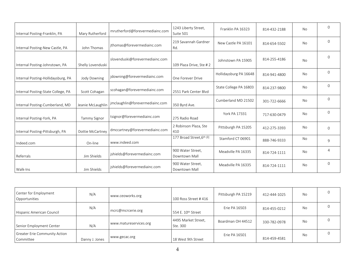| Internal Posting-Franklin, PA      | Mary Rutherford     | mrutherford@forevermediainc.com | 1243 Liberty Street,<br>Suite 501  | Franklin PA 16323      | 814-432-2188 | No        | $\Omega$     |
|------------------------------------|---------------------|---------------------------------|------------------------------------|------------------------|--------------|-----------|--------------|
| Internal Posting-New Castle, PA    | John Thomas         | jthomas@forevermediainc.com     | 219 Savannah Gardner<br>Rd.        | New Castle PA 16101    | 814-654-5502 | <b>No</b> | $\Omega$     |
| Internal Posting-Johnstown, PA     | Shelly Lovenduski   | slovenduski@forevermediainc.com | 109 Plaza Drive, Ste #2            | Johnstown PA 15905     | 814-255-4186 | No        | $\Omega$     |
| Internal Posting-Hollidaysburg, PA | <b>Jody Downing</b> | jdowning@forevermediainc.com    | One Forever Drive                  | Hollidaysburg PA 16648 | 814-941-4800 | No        | $\mathbf{0}$ |
| Internal Posting-State College, PA | Scott Cohagan       | scohagan@forevermediainc.com    | 2551 Park Center Blvd              | State College PA 16803 | 814-237-9800 | No        | 0            |
| Internal Posting-Cumberland, MD    | Jeanie McLaughlin   | jmclaughlin@forevermediainc.com | 350 Byrd Ave.                      | Cumberland MD 21502    | 301-722-6666 | No        | $\Omega$     |
| Internal Posting-York, PA          | Tammy Signor        | tsignor@forevermediainc.com     | 275 Radio Road                     | York PA 17331          | 717-630-0479 | No        | $\Omega$     |
| Internal Posting-Pittsburgh, PA    | Dottie McCartney    | dmccartney@forevermediainc.com  | 2 Robinson Plaza, Ste<br>410       | Pittsburgh PA 15205    | 412-275-3393 | No        | $\Omega$     |
| Indeed.com                         | On-line             | www.indeed.com                  | 177 Broad Street, 6th Fl           | Stamford CT 06901      | 888-746-9333 | No        | 9            |
| Referrals                          | Jim Shields         | jshields@forevermediainc.com    | 900 Water Street,<br>Downtown Mall | Meadville PA 16335     | 814-724-1111 | <b>No</b> | 4            |
| Walk-Ins                           | Jim Shields         | jshields@forevermediainc.com    | 900 Water Street.<br>Downtown Mall | Meadville PA 16335     | 814-724-1111 | No        | $\Omega$     |

| Center for Employment<br>Opportunities            | N/A            | www.ceoworks.org       | 100 Ross Street #416            | Pittsburgh PA 15219 | 412-444-1025 | <b>No</b> |  |
|---------------------------------------------------|----------------|------------------------|---------------------------------|---------------------|--------------|-----------|--|
| Hispanic American Council                         | N/A            | mcrc@mcrcerie.org      | 554 E. 10 <sup>th</sup> Street  | Erie PA 16503       | 814-455-0212 | <b>No</b> |  |
| Senior Employment Center                          | N/A            | www.matureservices.org | 4495 Market Street,<br>Ste. 300 | Boardman OH 44512   | 330-782-0978 | No        |  |
| <b>Greater Erie Community Action</b><br>Committee | Danny J. Jones | www.gecac.org          | 18 West 9th Street              | Erie PA 16501       | 814-459-4581 | No        |  |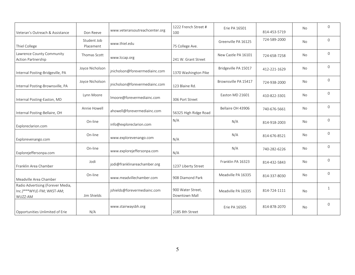| Veteran's Outreach & Assistance                                           | Don Reeve                | www.veteransoutreachcenter.org | 1222 French Street #<br>100        | Erie PA 16501        | 814-453-5719 | No        | $\mathbf{0}$   |
|---------------------------------------------------------------------------|--------------------------|--------------------------------|------------------------------------|----------------------|--------------|-----------|----------------|
| Thiel College                                                             | Student Job<br>Placement | www.thiel.edu                  | 75 College Ave.                    | Greenville PA 16125  | 724-589-2000 | No        | $\Omega$       |
| Lawrence County Community<br>Action Partnership                           | Thomas Scott             | www.lccap.org                  | 241 W. Grant Street                | New Castle PA 16101  | 724-658-7258 | <b>No</b> | $\overline{0}$ |
| Internal Posting-Bridgeville, PA                                          | Joyce Nicholson          | jnicholson@forevermediainc.com | 1370 Washington Pike               | Bridgeville PA 15017 | 412-221-1629 | No        | $\Omega$       |
| Internal Posting-Brownsville, PA                                          | Joyce Nicholson          | jnicholson@forevermediainc.com | 123 Blaine Rd.                     | Brownsville PA 15417 | 724-938-2000 | No        | $\Omega$       |
| Internal Posting-Easton, MD                                               | Lynn Moore               | Imoore@forevermediainc.com     | 306 Port Street                    | Easton MD 21601      | 410-822-3301 | No        | $\overline{0}$ |
| Internal Posting-Bellaire, OH                                             | Annie Howell             | ahowell@forevermediainc.com    | 56325 High Ridge Road              | Bellaire OH 43906    | 740-676-5661 | No        | $\Omega$       |
| Exploreclarion.com                                                        | On-line                  | info@exploreclarion.com        | N/A                                | N/A                  | 814-918-2003 | No        | $\overline{0}$ |
| Explorevenango.com                                                        | On-line                  | www.explorevenango.com         | N/A                                | N/A                  | 814-676-8521 | No        | $\Omega$       |
| Explorejeffersonpa.com                                                    | On-line                  | www.explorejeffersonpa.com     | N/A                                | N/A                  | 740-282-6226 | No        | $\Omega$       |
| Franklin Area Chamber                                                     | Jodi                     | jodi@franklinareachamber.org   | 1237 Liberty Street                | Franklin PA 16323    | 814-432-5843 | No        | $\overline{0}$ |
| Meadville Area Chamber                                                    | On-line                  | www.meadvillechamber.com       | 908 Diamond Park                   | Meadville PA 16335   | 814-337-8030 | No        | $\Omega$       |
| Radio Advertising (Forever Media,<br>Inc.)***WYLE-FM; WKST-AM;<br>WUZZ-AM | Jim Shields              | jshields@forevermediainc.com   | 900 Water Street,<br>Downtown Mall | Meadville PA 16335   | 814-724-1111 | No        | $\mathbf{1}$   |
| Opportunities Unlimited of Erie                                           | N/A                      | www.stairwaysbh.org            | 2185 8th Street                    | Erie PA 16505        | 814-878-2070 | No        | $\Omega$       |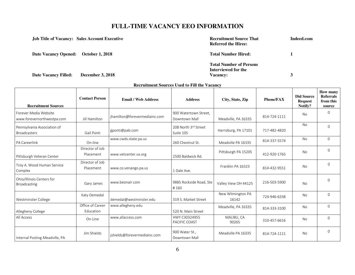| <b>Job Title of Vacancy: Sales Account Executive</b> |                         | <b>Recruitment Source That</b><br><b>Referred the Hiree:</b> | Indeed.com |
|------------------------------------------------------|-------------------------|--------------------------------------------------------------|------------|
| Date Vacancy Opened: October 1, 2018                 |                         | <b>Total Number Hired:</b>                                   |            |
|                                                      |                         | <b>Total Number of Persons</b><br>Interviewed for the        |            |
| <b>Date Vacancy Filled:</b>                          | <b>December 3, 2018</b> | <b>Vacancy:</b>                                              |            |

| <b>Recruitment Sources</b>                          | <b>Contact Person</b>         | <b>Email / Web Address</b>    | <b>Address</b>                         | City, State, Zip           | <b>Phone/FAX</b> | <b>Did Source</b><br><b>Request</b><br>Notify? | <b>How many</b><br><b>Referrals</b><br>from this<br>source |
|-----------------------------------------------------|-------------------------------|-------------------------------|----------------------------------------|----------------------------|------------------|------------------------------------------------|------------------------------------------------------------|
| Forever Media Website<br>www.forevernorthwestpa.com | Jill Hamilton                 | jhamilton@forevermediainc.com | 900 Watertown Street,<br>Downtown Mall | Meadville, PA 16335        | 814-724-1111     | No                                             | $\Omega$                                                   |
| Pennsylvania Association of<br><b>Broadcasters</b>  | Gail Ponti                    | gponti@pab.com                | 208 North 3rd Street<br>Suite 105      | Harrisburg, PA 17101       | 717-482-4820     | No.                                            | $\Omega$                                                   |
| PA Careerlink                                       | On-line                       | www.cwds.state.pa.us          | 260 Chestnut St.                       | Meadville PA 16335         | 814-337-5574     | No                                             | $\Omega$                                                   |
| Pittsburgh Veteran Center                           | Director of Job<br>Placement  | www.vetcenter.va.org          | 2500 Baldwick Rd.                      | Pittsburgh PA 15205        | 412-920-1765     | No                                             | $\Omega$                                                   |
| Troy A. Wood Human Service<br>Complex               | Director of Job<br>Placement  | www.co.venango.pa.us          | 1 Dale Ave.                            | Franklin PA 16323          | 814-432-9551     | No                                             | $\Omega$                                                   |
| Ohio/Illinois Centers for<br><b>Broadcasting</b>    | Gary James                    | www.beonair.com               | 9885 Rockside Road, Ste<br>#160        | Valley View OH 44125       | 216-503-5900     | No                                             | $\Omega$                                                   |
| Westminster College                                 | Katy Demedal                  | demedal@westminster.edu       | 319 S. Market Street                   | New Wilmington PA<br>16142 | 724-946-6338     | <b>No</b>                                      | $\Omega$                                                   |
| Allegheny College                                   | Office of Career<br>Education | www.allegheny.edu             | 520 N. Main Street                     | Meadville, PA 16335        | 814-333-3100     | No                                             | $\Omega$                                                   |
| All Access                                          | On-Line                       | www.allaccess.com             | HWY C30324955<br>PACIFIC COAST         | MALIBU, CA<br>90265        | 310-457-6616     | No                                             | 0                                                          |
| Internal Posting-Meadville, PA                      | Jim Shields                   | jshields@forevermediainc.com  | 900 Water St.,<br>Downtown Mall        | Meadville PA 16335         | 814-724-1111     | No.                                            | $\Omega$                                                   |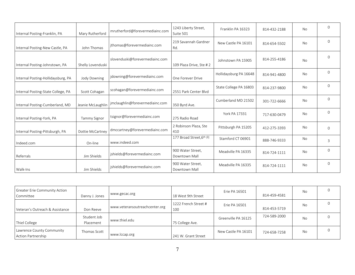| Internal Posting-Franklin, PA      | Mary Rutherford     | mrutherford@forevermediainc.com | 1243 Liberty Street,<br>Suite 501  | Franklin PA 16323      | 814-432-2188 | No  | $\Omega$       |
|------------------------------------|---------------------|---------------------------------|------------------------------------|------------------------|--------------|-----|----------------|
| Internal Posting-New Castle, PA    | John Thomas         | jthomas@forevermediainc.com     | 219 Savannah Gardner<br>Rd.        | New Castle PA 16101    | 814-654-5502 | No  | $\Omega$       |
| Internal Posting-Johnstown, PA     | Shelly Lovenduski   | slovenduski@forevermediainc.com | 109 Plaza Drive, Ste #2            | Johnstown PA 15905     | 814-255-4186 | No  | $\Omega$       |
| Internal Posting-Hollidaysburg, PA | Jody Downing        | jdowning@forevermediainc.com    | One Forever Drive                  | Hollidaysburg PA 16648 | 814-941-4800 | No. | $\Omega$       |
| Internal Posting-State College, PA | Scott Cohagan       | scohagan@forevermediainc.com    | 2551 Park Center Blvd              | State College PA 16803 | 814-237-9800 | No  | $\mathbf{0}$   |
| Internal Posting-Cumberland, MD    | Jeanie McLaughlin   | jmclaughlin@forevermediainc.com | 350 Byrd Ave.                      | Cumberland MD 21502    | 301-722-6666 | No  | $\mathbf 0$    |
| Internal Posting-York, PA          | <b>Tammy Signor</b> | tsignor@forevermediainc.com     | 275 Radio Road                     | <b>York PA 17331</b>   | 717-630-0479 | No  | $\Omega$       |
| Internal Posting-Pittsburgh, PA    | Dottie McCartney    | dmccartney@forevermediainc.com  | 2 Robinson Plaza, Ste<br>410       | Pittsburgh PA 15205    | 412-275-3393 | No  | $\Omega$       |
| Indeed.com                         | On-line             | www.indeed.com                  | 177 Broad Street, 6th Fl           | Stamford CT 06901      | 888-746-9333 | No  | 3              |
| Referrals                          | Jim Shields         | jshields@forevermediainc.com    | 900 Water Street,<br>Downtown Mall | Meadville PA 16335     | 814-724-1111 | No  | $\overline{0}$ |
| Walk-Ins                           | Jim Shields         | jshields@forevermediainc.com    | 900 Water Street.<br>Downtown Mall | Meadville PA 16335     | 814-724-1111 | No  | $\Omega$       |

| Greater Erie Community Action<br>Committee             | Danny J. Jones           | www.gecac.org                  | 18 West 9th Street          | Erie PA 16501       | 814-459-4581 | No |  |
|--------------------------------------------------------|--------------------------|--------------------------------|-----------------------------|---------------------|--------------|----|--|
| Veteran's Outreach & Assistance                        | Don Reeve                | www.veteransoutreachcenter.org | 1222 French Street #<br>100 | Erie PA 16501       | 814-453-5719 | No |  |
| Thiel College                                          | Student Job<br>Placement | www.thiel.edu                  | 75 College Ave.             | Greenville PA 16125 | 724-589-2000 | No |  |
| Lawrence County Community<br><b>Action Partnership</b> | Thomas Scott             | www.lccap.org                  | 241 W. Grant Street         | New Castle PA 16101 | 724-658-7258 | No |  |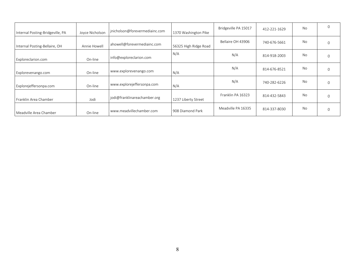| Internal Posting-Bridgeville, PA | Jovce Nicholson | jnicholson@forevermediainc.com | 1370 Washington Pike  | Bridgeville PA 15017 | 412-221-1629 | No | 0 |
|----------------------------------|-----------------|--------------------------------|-----------------------|----------------------|--------------|----|---|
| Internal Posting-Bellaire, OH    | Annie Howell    | ahowell@forevermediainc.com    | 56325 High Ridge Road | Bellaire OH 43906    | 740-676-5661 | No |   |
| Exploreclarion.com               | On-line         | info@exploreclarion.com        | N/A                   | N/A                  | 814-918-2003 | No |   |
| Explorevenango.com               | On-line         | www.explorevenango.com         | N/A                   | N/A                  | 814-676-8521 | No |   |
| Explorejeffersonpa.com           | On-line         | www.explorejeffersonpa.com     | N/A                   | N/A                  | 740-282-6226 | No |   |
| Franklin Area Chamber            | Jodi            | jodi@franklinareachamber.org   | 1237 Liberty Street   | Franklin PA 16323    | 814-432-5843 | No |   |
| Meadville Area Chamber           | On-line         | www.meadvillechamber.com       | 908 Diamond Park      | Meadville PA 16335   | 814-337-8030 | No |   |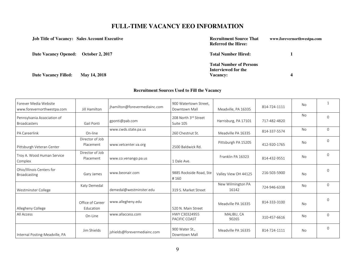| <b>Job Title of Vacancy: Sales Account Executive</b> | <b>Recruitment Source That</b><br><b>Referred the Hiree:</b> | www.forevernorthwestpa.com |
|------------------------------------------------------|--------------------------------------------------------------|----------------------------|
| Date Vacancy Opened: October 2, 2017                 | <b>Total Number Hired:</b>                                   |                            |
|                                                      | <b>Total Number of Persons</b><br>Interviewed for the        |                            |
| <b>Date Vacancy Filled:</b><br>May 14, 2018          | <b>Vacancy:</b>                                              | 4                          |

| Forever Media Website<br>www.forevernorthwestpa.com | Jill Hamilton                 | jhamilton@forevermediainc.com | 900 Watertown Street.<br>Downtown Mall | Meadville, PA 16335        | 814-724-1111 | <b>No</b>      |             |
|-----------------------------------------------------|-------------------------------|-------------------------------|----------------------------------------|----------------------------|--------------|----------------|-------------|
| Pennsylvania Association of<br><b>Broadcasters</b>  | Gail Ponti                    | gponti@pab.com                | 208 North 3rd Street<br>Suite 105      | Harrisburg, PA 17101       | 717-482-4820 | <b>No</b>      | $\Omega$    |
| PA Careerlink                                       | On-line                       | www.cwds.state.pa.us          | 260 Chestnut St.                       | Meadville PA 16335         | 814-337-5574 | <b>No</b>      | $\Omega$    |
| Pittsburgh Veteran Center                           | Director of Job<br>Placement  | www.vetcenter.va.org          | 2500 Baldwick Rd.                      | Pittsburgh PA 15205        | 412-920-1765 | <b>No</b>      | $\Omega$    |
| Troy A. Wood Human Service<br>Complex               | Director of Job<br>Placement  | www.co.venango.pa.us          | 1 Dale Ave.                            | Franklin PA 16323          | 814-432-9551 | N <sub>o</sub> | $\Omega$    |
| Ohio/Illinois Centers for<br><b>Broadcasting</b>    | Gary James                    | www.beonair.com               | 9885 Rockside Road, Ste<br>#160        | Valley View OH 44125       | 216-503-5900 | <b>No</b>      | $\Omega$    |
| Westminster College                                 | Katy Demedal                  | demedal@westminster.edu       | 319 S. Market Street                   | New Wilmington PA<br>16142 | 724-946-6338 | <b>No</b>      | $\Omega$    |
| Allegheny College                                   | Office of Career<br>Education | www.allegheny.edu             | 520 N. Main Street                     | Meadville PA 16335         | 814-333-3100 | <b>No</b>      | $\Omega$    |
| All Access                                          | On-Line                       | www.allaccess.com             | HWY C30324955<br>PACIFIC COAST         | MALIBU, CA<br>90265        | 310-457-6616 | <b>No</b>      | $\Omega$    |
| Internal Posting-Meadville, PA                      | Jim Shields                   | jshields@forevermediainc.com  | 900 Water St.,<br>Downtown Mall        | Meadville PA 16335         | 814-724-1111 | No             | $\mathbf 0$ |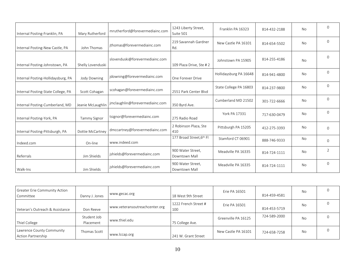| Internal Posting-Franklin, PA      | Mary Rutherford     | mrutherford@forevermediainc.com | 1243 Liberty Street,<br>Suite 501  | Franklin PA 16323      | 814-432-2188 | <b>No</b> | $\Omega$ |
|------------------------------------|---------------------|---------------------------------|------------------------------------|------------------------|--------------|-----------|----------|
| Internal Posting-New Castle, PA    | John Thomas         | jthomas@forevermediainc.com     | 219 Savannah Gardner<br>Rd.        | New Castle PA 16101    | 814-654-5502 | No        | $\Omega$ |
| Internal Posting-Johnstown, PA     | Shelly Lovenduski   | slovenduski@forevermediainc.com | 109 Plaza Drive, Ste #2            | Johnstown PA 15905     | 814-255-4186 | <b>No</b> | $\Omega$ |
| Internal Posting-Hollidaysburg, PA | Jody Downing        | jdowning@forevermediainc.com    | One Forever Drive                  | Hollidaysburg PA 16648 | 814-941-4800 | <b>No</b> | $\Omega$ |
| Internal Posting-State College, PA | Scott Cohagan       | scohagan@forevermediainc.com    | 2551 Park Center Blvd              | State College PA 16803 | 814-237-9800 | <b>No</b> | $\Omega$ |
| Internal Posting-Cumberland, MD    | Jeanie McLaughlin   | jmclaughlin@forevermediainc.com | 350 Byrd Ave.                      | Cumberland MD 21502    | 301-722-6666 | <b>No</b> | $\Omega$ |
| Internal Posting-York, PA          | <b>Tammy Signor</b> | tsignor@forevermediainc.com     | 275 Radio Road                     | York PA 17331          | 717-630-0479 | <b>No</b> | $\Omega$ |
| Internal Posting-Pittsburgh, PA    | Dottie McCartney    | dmccartney@forevermediainc.com  | 2 Robinson Plaza, Ste<br>410       | Pittsburgh PA 15205    | 412-275-3393 | No        | $\Omega$ |
| Indeed.com                         | On-line             | www.indeed.com                  | 177 Broad Street, 6th Fl           | Stamford CT 06901      | 888-746-9333 | <b>No</b> | $\Omega$ |
| Referrals                          | Jim Shields         | jshields@forevermediainc.com    | 900 Water Street,<br>Downtown Mall | Meadville PA 16335     | 814-724-1111 | No        | 2        |
| Walk-Ins                           | Jim Shields         | jshields@forevermediainc.com    | 900 Water Street,<br>Downtown Mall | Meadville PA 16335     | 814-724-1111 | No        | $\Omega$ |

| Greater Erie Community Action<br>Committee             | Danny J. Jones           | www.gecac.org                  | 18 West 9th Street          | Erie PA 16501       | 814-459-4581 | No        |  |
|--------------------------------------------------------|--------------------------|--------------------------------|-----------------------------|---------------------|--------------|-----------|--|
| Veteran's Outreach & Assistance                        | Don Reeve                | www.veteransoutreachcenter.org | 1222 French Street #<br>100 | Erie PA 16501       | 814-453-5719 | No        |  |
| Thiel College                                          | Student Job<br>Placement | www.thiel.edu                  | 75 College Ave.             | Greenville PA 16125 | 724-589-2000 | <b>No</b> |  |
| Lawrence County Community<br><b>Action Partnership</b> | Thomas Scott             | www.lccap.org                  | 1241 W. Grant Street        | New Castle PA 16101 | 724-658-7258 | No        |  |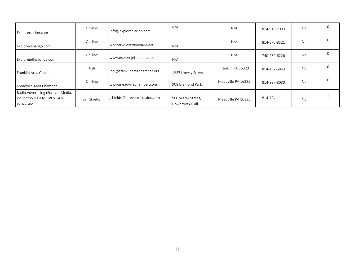| Exploreclarion.com                                                        | On-line     | info@exploreclarion.com      | N/A                                | N/A                | 814-918-2003 | <b>No</b> |  |
|---------------------------------------------------------------------------|-------------|------------------------------|------------------------------------|--------------------|--------------|-----------|--|
| Explorevenango.com                                                        | On-line     | www.explorevenango.com       | N/A                                | N/A                | 814-676-8521 | <b>No</b> |  |
| Explorejeffersonpa.com                                                    | On-line     | www.explorejeffersonpa.com   | N/A                                | N/A                | 740-282-6226 | <b>No</b> |  |
| Franklin Area Chamber                                                     | Jodi        | jodi@franklinareachamber.org | 1237 Liberty Street                | Franklin PA 16323  | 814-432-5843 | <b>No</b> |  |
| Meadville Area Chamber                                                    | On-line     | www.meadvillechamber.com     | 908 Diamond Park                   | Meadville PA 16335 | 814-337-8030 | <b>No</b> |  |
| Radio Advertising (Forever Media,<br>Inc.)***WYLE-FM; WKST-AM;<br>WUZZ-AM | Jim Shields | ishields@forevermediainc.com | 900 Water Street,<br>Downtown Mall | Meadville PA 16335 | 814-724-1111 | <b>No</b> |  |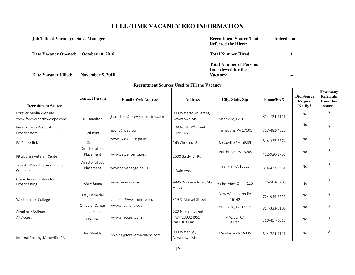| <b>Job Title of Vacancy: Sales Manager</b>             | <b>Recruitment Source That</b><br><b>Referred the Hiree:</b>      | Indeed.com |
|--------------------------------------------------------|-------------------------------------------------------------------|------------|
| <b>Date Vacancy Opened:</b><br><b>October 10, 2018</b> | <b>Total Number Hired:</b>                                        |            |
| <b>Date Vacancy Filled:</b><br><b>November 5, 2018</b> | <b>Total Number of Persons</b><br>Interviewed for the<br>Vacancy: | 4          |

 $\mathbf{r}$ 

| <b>Recruitment Sources</b>                          | <b>Contact Person</b>         | <b>Email / Web Address</b>    | <b>Address</b>                         | City, State, Zip           | <b>Phone/FAX</b> | <b>Did Source</b><br><b>Request</b><br>Notify? | How many<br><b>Referrals</b><br>from this<br>source |
|-----------------------------------------------------|-------------------------------|-------------------------------|----------------------------------------|----------------------------|------------------|------------------------------------------------|-----------------------------------------------------|
| Forever Media Website<br>www.forevernorthwestpa.com | Jill Hamilton                 | jhamilton@forevermediainc.com | 900 Watertown Street,<br>Downtown Mall | Meadville, PA 16335        | 814-724-1111     | No                                             | $\Omega$                                            |
| Pennsylvania Association of<br><b>Broadcasters</b>  | Gail Ponti                    | gponti@pab.com                | 208 North 3rd Street<br>Suite 105      | Harrisburg, PA 17101       | 717-482-4820     | <b>No</b>                                      | $\Omega$                                            |
| PA Careerlink                                       | On-line                       | www.cwds.state.pa.us          | 260 Chestnut St.                       | Meadville PA 16335         | 814-337-5574     | No                                             | $\Omega$                                            |
| Pittsburgh Veteran Center                           | Director of Job<br>Placement  | www.vetcenter.va.org          | 2500 Baldwick Rd.                      | Pittsburgh PA 15205        | 412-920-1765     | No                                             | $\Omega$                                            |
| Troy A. Wood Human Service<br>Complex               | Director of Job<br>Placement  | www.co.venango.pa.us          | 1 Dale Ave.                            | Franklin PA 16323          | 814-432-9551     | <b>No</b>                                      | $\Omega$                                            |
| Ohio/Illinois Centers for<br>Broadcasting           | Gary James                    | www.beonair.com               | 9885 Rockside Road, Ste<br>#160        | Valley View OH 44125       | 216-503-5900     | <b>No</b>                                      | $\Omega$                                            |
| Westminster College                                 | Katy Demedal                  | demedal@westminster.edu       | 319 S. Market Street                   | New Wilmington PA<br>16142 | 724-946-6338     | No                                             | $\Omega$                                            |
| Allegheny College                                   | Office of Career<br>Education | www.allegheny.edu             | 520 N. Main Street                     | Meadville, PA 16335        | 814-333-3100     | No                                             | $\Omega$                                            |
| All Access                                          | On-Line                       | www.allaccess.com             | HWY C30324955<br>PACIFIC COAST         | MALIBU, CA<br>90265        | 310-457-6616     | No                                             | 0                                                   |
| Internal Posting-Meadville, PA                      | Jim Shields                   | jshields@forevermediainc.com  | 900 Water St.,<br>Downtown Mall        | Meadville PA 16335         | 814-724-1111     | No                                             | $\Omega$                                            |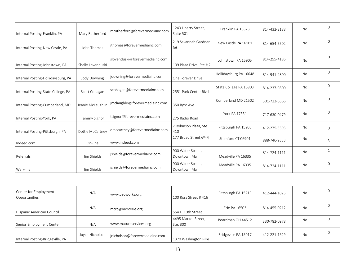| Internal Posting-Franklin, PA      | Mary Rutherford     | mrutherford@forevermediainc.com | 1243 Liberty Street,<br>Suite 501  | Franklin PA 16323      | 814-432-2188 | No  | $\Omega$     |
|------------------------------------|---------------------|---------------------------------|------------------------------------|------------------------|--------------|-----|--------------|
| Internal Posting-New Castle, PA    | John Thomas         | jthomas@forevermediainc.com     | 219 Savannah Gardner<br>Rd.        | New Castle PA 16101    | 814-654-5502 | No  | $\Omega$     |
| Internal Posting-Johnstown, PA     | Shelly Lovenduski   | slovenduski@forevermediainc.com | 109 Plaza Drive, Ste #2            | Johnstown PA 15905     | 814-255-4186 | No  | $\Omega$     |
| Internal Posting-Hollidaysburg, PA | Jody Downing        | jdowning@forevermediainc.com    | One Forever Drive                  | Hollidaysburg PA 16648 | 814-941-4800 | No. | $\Omega$     |
| Internal Posting-State College, PA | Scott Cohagan       | scohagan@forevermediainc.com    | 2551 Park Center Blvd              | State College PA 16803 | 814-237-9800 | No  | $\mathbf{0}$ |
| Internal Posting-Cumberland, MD    | Jeanie McLaughlin   | jmclaughlin@forevermediainc.com | 350 Byrd Ave.                      | Cumberland MD 21502    | 301-722-6666 | No  | $\mathbf 0$  |
| Internal Posting-York, PA          | <b>Tammy Signor</b> | tsignor@forevermediainc.com     | 275 Radio Road                     | <b>York PA 17331</b>   | 717-630-0479 | No  | $\Omega$     |
| Internal Posting-Pittsburgh, PA    | Dottie McCartney    | dmccartney@forevermediainc.com  | 2 Robinson Plaza, Ste<br>410       | Pittsburgh PA 15205    | 412-275-3393 | No  | $\Omega$     |
| Indeed.com                         | On-line             | www.indeed.com                  | 177 Broad Street, 6th Fl           | Stamford CT 06901      | 888-746-9333 | No  | 3            |
| Referrals                          | Jim Shields         | jshields@forevermediainc.com    | 900 Water Street,<br>Downtown Mall | Meadville PA 16335     | 814-724-1111 | No  | $\mathbf{1}$ |
| Walk-Ins                           | Jim Shields         | jshields@forevermediainc.com    | 900 Water Street.<br>Downtown Mall | Meadville PA 16335     | 814-724-1111 | No  | $\Omega$     |

| Center for Employment<br>Opportunities | N/A             | www.ceoworks.org               | 100 Ross Street #416            | Pittsburgh PA 15219  | 412-444-1025 | No |  |
|----------------------------------------|-----------------|--------------------------------|---------------------------------|----------------------|--------------|----|--|
| Hispanic American Council              | N/A             | mcrc@mcrcerie.org              | 554 E. 10th Street              | Erie PA 16503        | 814-455-0212 | No |  |
| Senior Employment Center               | N/A             | www.matureservices.org         | 4495 Market Street,<br>Ste. 300 | Boardman OH 44512    | 330-782-0978 | No |  |
| Internal Posting-Bridgeville, PA       | Joyce Nicholson | jnicholson@forevermediainc.com | 1370 Washington Pike            | Bridgeville PA 15017 | 412-221-1629 | No |  |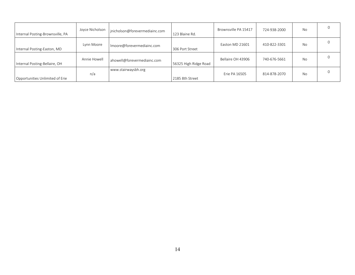| Internal Posting-Brownsville, PA | Joyce Nicholson | jnicholson@forevermediainc.com | 123 Blaine Rd.        | Brownsville PA 15417 | 724-938-2000 | No |  |
|----------------------------------|-----------------|--------------------------------|-----------------------|----------------------|--------------|----|--|
| Internal Posting-Easton, MD      | Lynn Moore      | Imoore@forevermediainc.com     | 306 Port Street       | Easton MD 21601      | 410-822-3301 | No |  |
| Internal Posting-Bellaire, OH    | Annie Howell    | ahowell@forevermediainc.com    | 56325 High Ridge Road | Bellaire OH 43906    | 740-676-5661 | No |  |
| Opportunities Unlimited of Erie  | n/a             | www.stairwaysbh.org            | 2185 8th Street       | Erie PA 16505        | 814-878-2070 | No |  |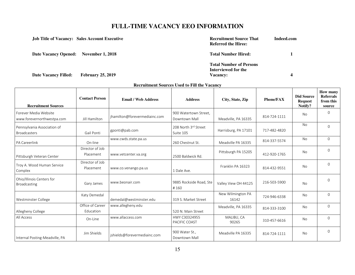|                                       | <b>Job Title of Vacancy: Sales Account Executive</b> | <b>Recruitment Source That</b><br><b>Referred the Hiree:</b>             | Indeed.com |
|---------------------------------------|------------------------------------------------------|--------------------------------------------------------------------------|------------|
| Date Vacancy Opened: November 1, 2018 |                                                      | <b>Total Number Hired:</b>                                               |            |
| <b>Date Vacancy Filled:</b>           | <b>February 25, 2019</b>                             | <b>Total Number of Persons</b><br>Interviewed for the<br><b>Vacancy:</b> | 4          |

 $\mathbf{r}$ 

| <b>Recruitment Sources</b>                          | <b>Contact Person</b>         | <b>Email / Web Address</b>    | <b>Address</b>                         | City, State, Zip           | <b>Phone/FAX</b> | <b>Did Source</b><br><b>Request</b><br>Notify? | <b>How many</b><br><b>Referrals</b><br>from this<br>source |
|-----------------------------------------------------|-------------------------------|-------------------------------|----------------------------------------|----------------------------|------------------|------------------------------------------------|------------------------------------------------------------|
| Forever Media Website<br>www.forevernorthwestpa.com | Jill Hamilton                 | ihamilton@forevermediainc.com | 900 Watertown Street,<br>Downtown Mall | Meadville, PA 16335        | 814-724-1111     | No                                             | $\Omega$                                                   |
| Pennsylvania Association of<br><b>Broadcasters</b>  | Gail Ponti                    | gponti@pab.com                | 208 North 3rd Street<br>Suite 105      | Harrisburg, PA 17101       | 717-482-4820     | No                                             | $\Omega$                                                   |
| <b>PA Careerlink</b>                                | On-line                       | www.cwds.state.pa.us          | 260 Chestnut St.                       | Meadville PA 16335         | 814-337-5574     | No                                             | $\Omega$                                                   |
| Pittsburgh Veteran Center                           | Director of Job<br>Placement  | www.vetcenter.va.org          | 2500 Baldwick Rd.                      | Pittsburgh PA 15205        | 412-920-1765     | No                                             | $\Omega$                                                   |
| Troy A. Wood Human Service<br>Complex               | Director of Job<br>Placement  | www.co.venango.pa.us          | 1 Dale Ave.                            | Franklin PA 16323          | 814-432-9551     | No                                             | $\Omega$                                                   |
| Ohio/Illinois Centers for<br><b>Broadcasting</b>    | Gary James                    | www.beonair.com               | 9885 Rockside Road, Ste<br>#160        | Valley View OH 44125       | 216-503-5900     | No                                             | $\Omega$                                                   |
| Westminster College                                 | Katy Demedal                  | demedal@westminster.edu       | 319 S. Market Street                   | New Wilmington PA<br>16142 | 724-946-6338     | <b>No</b>                                      | $\Omega$                                                   |
| Allegheny College                                   | Office of Career<br>Education | www.allegheny.edu             | 520 N. Main Street                     | Meadville, PA 16335        | 814-333-3100     | No.                                            | $\Omega$                                                   |
| All Access                                          | On-Line                       | www.allaccess.com             | HWY C30324955<br>PACIFIC COAST         | MALIBU, CA<br>90265        | 310-457-6616     | No                                             | $\Omega$                                                   |
| Internal Posting-Meadville, PA                      | Jim Shields                   | jshields@forevermediainc.com  | 900 Water St<br>Downtown Mall          | Meadville PA 16335         | 814-724-1111     | No.                                            | $\Omega$                                                   |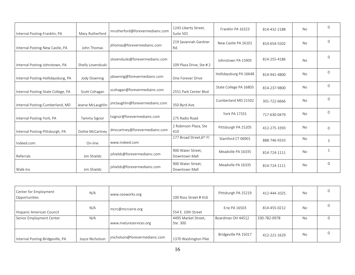| Internal Posting-Franklin, PA      | Mary Rutherford     | mrutherford@forevermediainc.com | 1243 Liberty Street,<br>Suite 501  | Franklin PA 16323      | 814-432-2188 | No        | $\Omega$       |
|------------------------------------|---------------------|---------------------------------|------------------------------------|------------------------|--------------|-----------|----------------|
| Internal Posting-New Castle, PA    | John Thomas         | jthomas@forevermediainc.com     | 219 Savannah Gardner<br>Rd.        | New Castle PA 16101    | 814-654-5502 | No        | $\mathbf 0$    |
| Internal Posting-Johnstown, PA     | Shelly Lovenduski   | slovenduski@forevermediainc.com | 109 Plaza Drive, Ste #2            | Johnstown PA 15905     | 814-255-4186 | <b>No</b> | $\Omega$       |
| Internal Posting-Hollidaysburg, PA | Jody Downing        | jdowning@forevermediainc.com    | One Forever Drive                  | Hollidaysburg PA 16648 | 814-941-4800 | No        | $\Omega$       |
| Internal Posting-State College, PA | Scott Cohagan       | scohagan@forevermediainc.com    | 2551 Park Center Blvd              | State College PA 16803 | 814-237-9800 | No        | $\Omega$       |
| Internal Posting-Cumberland, MD    | Jeanie McLaughlin   | jmclaughlin@forevermediainc.com | 350 Byrd Ave.                      | Cumberland MD 21502    | 301-722-6666 | No        | $\Omega$       |
| Internal Posting-York, PA          | <b>Tammy Signor</b> | tsignor@forevermediainc.com     | 275 Radio Road                     | <b>York PA 17331</b>   | 717-630-0479 | No        | $\Omega$       |
| Internal Posting-Pittsburgh, PA    | Dottie McCartney    | dmccartney@forevermediainc.com  | 2 Robinson Plaza, Ste<br>410       | Pittsburgh PA 15205    | 412-275-3393 | No        | $\Omega$       |
| Indeed.com                         | On-line             | www.indeed.com                  | 177 Broad Street, 6th Fl           | Stamford CT 06901      | 888-746-9333 | No        | $\overline{3}$ |
| Referrals                          | Jim Shields         | jshields@forevermediainc.com    | 900 Water Street,<br>Downtown Mall | Meadville PA 16335     | 814-724-1111 | No        | $\mathbf{1}$   |
| Walk-Ins                           | Jim Shields         | jshields@forevermediainc.com    | 900 Water Street,<br>Downtown Mall | Meadville PA 16335     | 814-724-1111 | No        | $\mathbf{0}$   |

| Center for Employment<br>Opportunities | N/A             | www.ceoworks.org               | 100 Ross Street #416            | Pittsburgh PA 15219  | 412-444-1025 | <b>No</b> |  |
|----------------------------------------|-----------------|--------------------------------|---------------------------------|----------------------|--------------|-----------|--|
| Hispanic American Council              | N/A             | mcrc@mcrcerie.org              | 554 E. 10th Street              | Erie PA 16503        | 814-455-0212 | <b>No</b> |  |
| Senior Employment Center               | N/A             | www.matureservices.org         | 4495 Market Street,<br>Ste. 300 | Boardman OH 44512    | 330-782-0978 | No        |  |
| Internal Posting-Bridgeville, PA       | Joyce Nicholson | inicholson@forevermediainc.com | 1370 Washington Pike            | Bridgeville PA 15017 | 412-221-1629 | No        |  |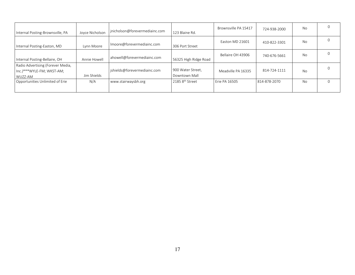| Internal Posting-Brownsville, PA                                          | Jovce Nicholson | jnicholson@forevermediainc.com | 123 Blaine Rd.                     | Brownsville PA 15417 | 724-938-2000 | No        |  |
|---------------------------------------------------------------------------|-----------------|--------------------------------|------------------------------------|----------------------|--------------|-----------|--|
| Internal Posting-Easton, MD                                               | Lynn Moore      | Imoore@forevermediainc.com     | 306 Port Street                    | Easton MD 21601      | 410-822-3301 | No        |  |
| Internal Posting-Bellaire, OH                                             | Annie Howell    | ahowell@forevermediainc.com    | 56325 High Ridge Road              | Bellaire OH 43906    | 740-676-5661 | No        |  |
| Radio Advertising (Forever Media,<br>Inc.)***WYLE-FM; WKST-AM;<br>WUZZ-AM | Jim Shields     | jshields@forevermediainc.com   | 900 Water Street,<br>Downtown Mall | Meadville PA 16335   | 814-724-1111 | <b>No</b> |  |
| Opportunities Unlimited of Erie                                           | N/A             | www.stairwaysbh.org            | 2185 8 <sup>th</sup> Street        | Erie PA 16505        | 814-878-2070 | No        |  |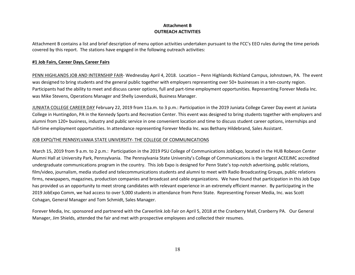### **Attachment B OUTREACH ACTIVITIES**

Attachment B contains a list and brief description of menu option activities undertaken pursuant to the FCC's EEO rules during the time periods covered by this report. The stations have engaged in the following outreach activities:

### **#1 Job Fairs, Career Days, Career Fairs**

PENN HIGHLANDS JOB AND INTERNSHIP FAIR- Wednesday April 4, 2018. Location – Penn Highlands Richland Campus, Johnstown, PA. The event was designed to bring students and the general public together with employers representing over 50+ businesses in a ten-county region. Participants had the ability to meet and discuss career options, full and part-time employment opportunities. Representing Forever Media Inc. was Mike Stevens, Operations Manager and Shelly Lovenduski, Business Manager.

JUNIATA COLLEGE CAREER DAY February 22, 2019 from 11a.m. to 3 p.m.: Participation in the 2019 Juniata College Career Day event at Juniata College in Huntingdon, PA in the Kennedy Sports and Recreation Center. This event was designed to bring students together with employers and alumni from 120+ business, industry and public service in one convenient location and time to discuss student career options, internships and full-time employment opportunities. In attendance representing Forever Media Inc. was Bethany Hildebrand, Sales Assistant.

### JOB EXPO/THE PENNSYLVANIA STATE UNIVERSITY- THE COLLEGE OF COMMUNICATIONS

March 15, 2019 from 9 a.m. to 2 p.m.: Participation in the 2019 PSU College of Communications JobExpo, located in the HUB Robeson Center Alumni Hall at University Park, Pennsylvania. The Pennsylvania State University's College of Communications is the largest ACEEJMC accredited undergraduate communications program in the country. This Job Expo is designed for Penn State's top-notch advertising, public relations, film/video, journalism, media studied and telecommunications students and alumni to meet with Radio Broadcasting Groups, public relations firms, newspapers, magazines, production companies and broadcast and cable organizations. We have found that participation in this Job Expo has provided us an opportunity to meet strong candidates with relevant experience in an extremely efficient manner. By participating in the 2019 JobExpo Comm, we had access to over 5,000 students in attendance from Penn State. Representing Forever Media, Inc. was Scott Cohagan, General Manager and Tom Schmidt, Sales Manager.

Forever Media, Inc. sponsored and partnered with the Careerlink Job Fair on April 5, 2018 at the Cranberry Mall, Cranberry PA. Our General Manager, Jim Shields, attended the fair and met with prospective employees and collected their resumes.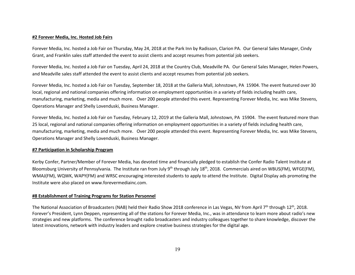#### **#2 Forever Media, Inc. Hosted Job Fairs**

Forever Media, Inc. hosted a Job Fair on Thursday, May 24, 2018 at the Park Inn by Radisson, Clarion PA. Our General Sales Manager, Cindy Grant, and Franklin sales staff attended the event to assist clients and accept resumes from potential job seekers.

Forever Media, Inc. hosted a Job Fair on Tuesday, April 24, 2018 at the Country Club, Meadville PA. Our General Sales Manager, Helen Powers, and Meadville sales staff attended the event to assist clients and accept resumes from potential job seekers.

Forever Media, Inc. hosted a Job Fair on Tuesday, September 18, 2018 at the Galleria Mall, Johnstown, PA 15904. The event featured over 30 local, regional and national companies offering information on employment opportunities in a variety of fields including health care, manufacturing, marketing, media and much more. Over 200 people attended this event. Representing Forever Media, Inc. was Mike Stevens, Operations Manager and Shelly Lovenduski, Business Manager.

Forever Media, Inc. hosted a Job Fair on Tuesday, February 12, 2019 at the Galleria Mall, Johnstown, PA 15904. The event featured more than 25 local, regional and national companies offering information on employment opportunities in a variety of fields including health care, manufacturing, marketing, media and much more. Over 200 people attended this event. Representing Forever Media, Inc. was Mike Stevens, Operations Manager and Shelly Lovenduski, Business Manager.

#### **#7 Participation in Scholarship Program**

Kerby Confer, Partner/Member of Forever Media, has devoted time and financially pledged to establish the Confer Radio Talent Institute at Bloomsburg University of Pennsylvania. The Institute ran from July 9<sup>th</sup> through July 18<sup>th</sup>, 2018. Commercials aired on WBUS(FM), WFGE(FM), WMAJ(FM), WQWK, WAPY(FM) and WRSC encouraging interested students to apply to attend the Institute. Digital Display ads promoting the Institute were also placed on www.forevermediainc.com.

#### **#8 Establishment of Training Programs for Station Personnel**

The National Association of Broadcasters (NAB) held their Radio Show 2018 conference in Las Vegas, NV from April 7<sup>th</sup> through 12<sup>th</sup>, 2018. Forever's President, Lynn Deppen, representing all of the stations for Forever Media, Inc., was in attendance to learn more about radio's new strategies and new platforms. The conference brought radio broadcasters and industry colleagues together to share knowledge, discover the latest innovations, network with industry leaders and explore creative business strategies for the digital age.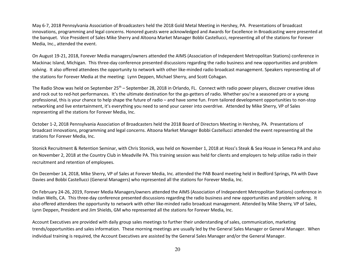May 6-7, 2018 Pennsylvania Association of Broadcasters held the 2018 Gold Metal Meeting in Hershey, PA. Presentations of broadcast innovations, programming and legal concerns. Honored guests were acknowledged and Awards for Excellence in Broadcasting were presented at the banquet. Vice President of Sales Mike Sherry and Altoona Market Manager Bobbi Castellucci, representing all of the stations for Forever Media, Inc., attended the event.

On August 19-21, 2018, Forever Media managers/owners attended the AIMS (Association of Independent Metropolitan Stations) conference in Mackinac Island, Michigan. This three-day conference presented discussions regarding the radio business and new opportunities and problem solving. It also offered attendees the opportunity to network with other like-minded radio broadcast management. Speakers representing all of the stations for Forever Media at the meeting: Lynn Deppen, Michael Sherry, and Scott Cohagan.

The Radio Show was held on September 25<sup>th</sup> – September 28, 2018 in Orlando, FL. Connect with radio power players, discover creative ideas and rock out to red-hot performances. It's the ultimate destination for the go-getters of radio. Whether you're a seasoned pro or a young professional, this is your chance to help shape the future of radio – and have some fun. From tailored development opportunities to non-stop networking and live entertainment, it's everything you need to send your career into overdrive. Attended by Mike Sherry, VP of Sales representing all the stations for Forever Media, Inc.

October 1-2, 2018 Pennsylvania Association of Broadcasters held the 2018 Board of Directors Meeting in Hershey, PA. Presentations of broadcast innovations, programming and legal concerns. Altoona Market Manager Bobbi Castellucci attended the event representing all the stations for Forever Media, Inc.

Stonick Recruitment & Retention Seminar, with Chris Stonick, was held on November 1, 2018 at Hoss's Steak & Sea House in Seneca PA and also on November 2, 2018 at the Country Club in Meadville PA. This training session was held for clients and employers to help utilize radio in their recruitment and retention of employees.

On December 14, 2018, Mike Sherry, VP of Sales at Forever Media, Inc. attended the PAB Board meeting held in Bedford Springs, PA with Dave Davies and Bobbi Castellucci (General Managers) who represented all the stations for Forever Media, Inc.

On February 24-26, 2019, Forever Media Managers/owners attended the AIMS (Association of Independent Metropolitan Stations) conference in Indian Wells, CA. This three-day conference presented discussions regarding the radio business and new opportunities and problem solving. It also offered attendees the opportunity to network with other like-minded radio broadcast management. Attended by Mike Sherry, VP of Sales, Lynn Deppen, President and Jim Shields, GM who represented all the stations for Forever Media, Inc.

Account Executives are provided with daily group sales meetings to further their understanding of sales, communication, marketing trends/opportunities and sales information. These morning meetings are usually led by the General Sales Manager or General Manager. When individual training is required, the Account Executives are assisted by the General Sales Manager and/or the General Manager.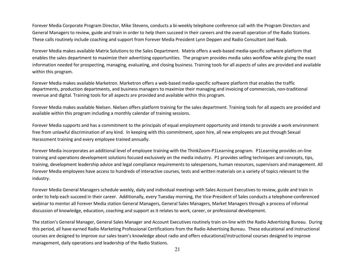Forever Media Corporate Program Director, Mike Stevens, conducts a bi-weekly telephone conference call with the Program Directors and General Managers to review, guide and train in order to help them succeed in their careers and the overall operation of the Radio Stations. These calls routinely include coaching and support from Forever Media President Lynn Deppen and Radio Consultant Joel Raab.

Forever Media makes available Matrix Solutions to the Sales Department. Matrix offers a web-based media-specific software platform that enables the sales department to maximize their advertising opportunities. The program provides media sales workflow while giving the exact information needed for prospecting, managing, evaluating, and closing business. Training tools for all aspects of sales are provided and available within this program.

Forever Media makes available Marketron. Marketron offers a web-based media-specific software platform that enables the traffic departments, production departments, and business managers to maximize their managing and invoicing of commercials, non-traditional revenue and digital. Training tools for all aspects are provided and available within this program.

Forever Media makes available Nielsen. Nielsen offers platform training for the sales department. Training tools for all aspects are provided and available within this program including a monthly calendar of training sessions.

Forever Media supports and has a commitment to the principals of equal employment opportunity and intends to provide a work environment free from unlawful discrimination of any kind. In keeping with this commitment, upon hire, all new employees are put through Sexual Harassment training and every employee trained annually.

Forever Media incorporates an additional level of employee training with the ThinkZoom-P1Learning program. P1Learning provides on-line training and operations development solutions focused exclusively on the media industry. P1 provides selling techniques and concepts, tips, training, development leadership advice and legal compliance requirements to salespersons, human resources, supervisors and management. All Forever Media employees have access to hundreds of interactive courses, tests and written materials on a variety of topics relevant to the industry.

Forever Media General Managers schedule weekly, daily and individual meetings with Sales Account Executives to review, guide and train in order to help each succeed in their career. Additionally, every Tuesday morning, the Vice-President of Sales conducts a telephone-conferenced webinar to mentor all Forever Media station General Managers, General Sales Managers, Market Managers through a process of informal discussion of knowledge, education, coaching and support as it relates to work, career, or professional development.

The station's General Manager, General Sales Manager and Account Executives routinely train on-line with the Radio Advertising Bureau. During this period, all have earned Radio Marketing Professional Certifications from the Radio Advertising Bureau. These educational and instructional courses are designed to improve our sales team's knowledge about radio and offers educational/instructional courses designed to improve management, daily operations and leadership of the Radio Stations.